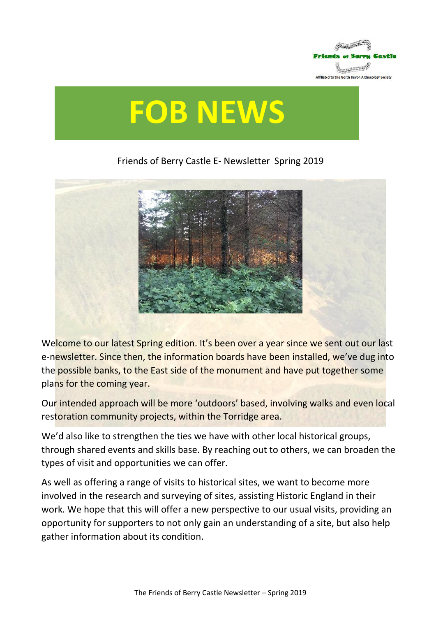

# **FOB NEWS**

### Friends of Berry Castle E- Newsletter Spring 2019



Welcome to our latest Spring edition. It's been over a year since we sent out our last e-newsletter. Since then, the information boards have been installed, we've dug into the possible banks, to the East side of the monument and have put together some plans for the coming year.

Our intended approach will be more 'outdoors' based, involving walks and even local restoration community projects, within the Torridge area.

We'd also like to strengthen the ties we have with other local historical groups, through shared events and skills base. By reaching out to others, we can broaden the types of visit and opportunities we can offer.

As well as offering a range of visits to historical sites, we want to become more involved in the research and surveying of sites, assisting Historic England in their work. We hope that this will offer a new perspective to our usual visits, providing an opportunity for supporters to not only gain an understanding of a site, but also help gather information about its condition.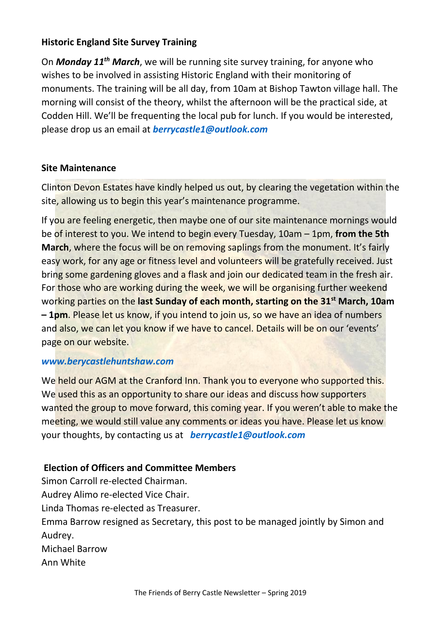#### **Historic England Site Survey Training**

On *Monday 11th March*, we will be running site survey training, for anyone who wishes to be involved in assisting Historic England with their monitoring of monuments. The training will be all day, from 10am at Bishop Tawton village hall. The morning will consist of the theory, whilst the afternoon will be the practical side, at Codden Hill. We'll be frequenting the local pub for lunch. If you would be interested, please drop us an email at *[berrycastle1@outlook.com](mailto:berrycastle1@outlook.com)*

#### **Site Maintenance**

Clinton Devon Estates have kindly helped us out, by clearing the vegetation within the site, allowing us to begin this year's maintenance programme.

If you are feeling energetic, then maybe one of our site maintenance mornings would be of interest to you. We intend to begin every Tuesday, 10am – 1pm, **from the 5th March**, where the focus will be on removing saplings from the monument. It's fairly easy work, for any age or fitness level and volunteers will be gratefully received. Just bring some gardening gloves and a flask and join our dedicated team in the fresh air. For those who are working during the week, we will be organising further weekend working parties on the **last Sunday of each month, starting on the 31st March, 10am – 1pm**. Please let us know, if you intend to join us, so we have an idea of numbers and also, we can let you know if we have to cancel. Details will be on our 'events' page on our website.

#### *[www.berycastlehuntshaw.com](http://www.berycastlehuntshaw.com/)*

We held our AGM at the Cranford Inn. Thank you to everyone who supported this. We used this as an opportunity to share our ideas and discuss how supporters wanted the group to move forward, this coming year. If you weren't able to make the meeting, we would still value any comments or ideas you have. Please let us know your thoughts, by contacting us at *[berrycastle1@outlook.com](mailto:berrycastle1@outlook.com)*

## **Election of Officers and Committee Members**

Simon Carroll re-elected Chairman. Audrey Alimo re-elected Vice Chair. Linda Thomas re-elected as Treasurer. Emma Barrow resigned as Secretary, this post to be managed jointly by Simon and Audrey. Michael Barrow Ann White